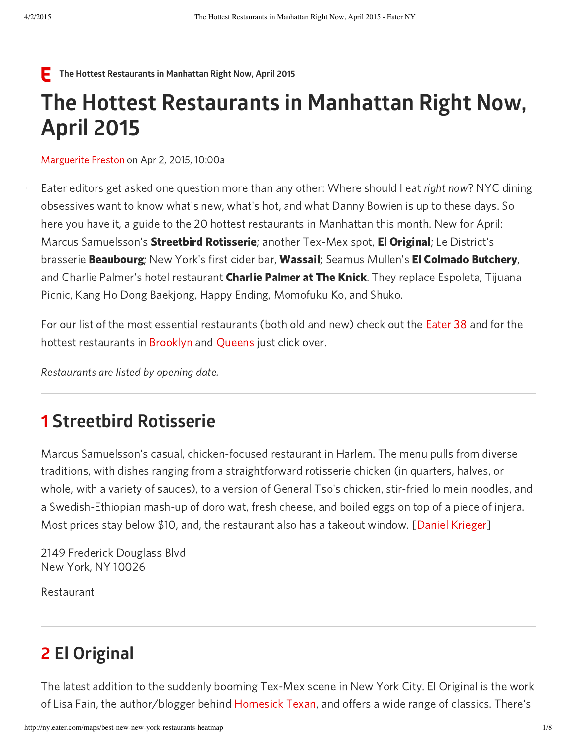#### F The Hottest Restaurants in Manhattan Right Now, April 2015

# The Hottest Restaurants in Manhattan Right Now, April 2015

[Marguerite](http://ny.eater.com/authors/marguerite-preston) Preston on Apr 2, 2015, 10:00a

Eater editors get asked one question more than any other: Where should I eat *right now*? NYC dining obsessives want to know what's new, what's hot, and what Danny Bowien is up to these days. So here you have it, a guide to the 20 hottest restaurants in Manhattan this month. New for April: Marcus Samuelsson's **Streetbird Rotisserie**; another Tex-Mex spot, **El Original**; Le District's brasserie **Beaubourg**; New York's first cider bar, **Wassail**; Seamus Mullen's **El Colmado Butchery**, and Charlie Palmer's hotel restaurant **Charlie Palmer at The Knick**. They replace Espoleta, Tijuana Picnic, Kang Ho Dong Baekjong, Happy Ending, Momofuku Ko, and Shuko.

For our list of the most essential restaurants (both old and new) check out the [Eater](http://ny.eater.com/maps/best-restaurants-new-york-city-october-2014) 38 and for the hottest restaurants in [Brooklyn](http://ny.eater.com/maps/the-hottest-restaurants-in-brooklyn-right-now-february-2015) and [Queens](http://ny.eater.com/maps/the-hottest-restaurants-in-queens-right-now-february-2015) just click over.

Restaurants are listed by opening date.

#### 1 Streetbird Rotisserie

Marcus Samuelsson's casual, chicken-focused restaurant in Harlem. The menu pulls from diverse traditions, with dishes ranging from a straightforward rotisserie chicken (in quarters, halves, or whole, with a variety of sauces), to a version of General Tso's chicken, stir-fried lo mein noodles, and a Swedish-Ethiopian mash-up of doro wat, fresh cheese, and boiled eggs on top of a piece of injera. Most prices stay below \$10, and, the restaurant also has a takeout window. [Daniel [Krieger\]](http://instagram.com/danielkrieger)

2149 Frederick Douglass Blvd New York, NY 10026

Restaurant

## 2 El Original

The latest addition to the suddenly booming Tex-Mex scene in New York City. El Original is the work of Lisa Fain, the author/blogger behind [Homesick](http://www.homesicktexan.com/) Texan, and offers a wide range of classics. There's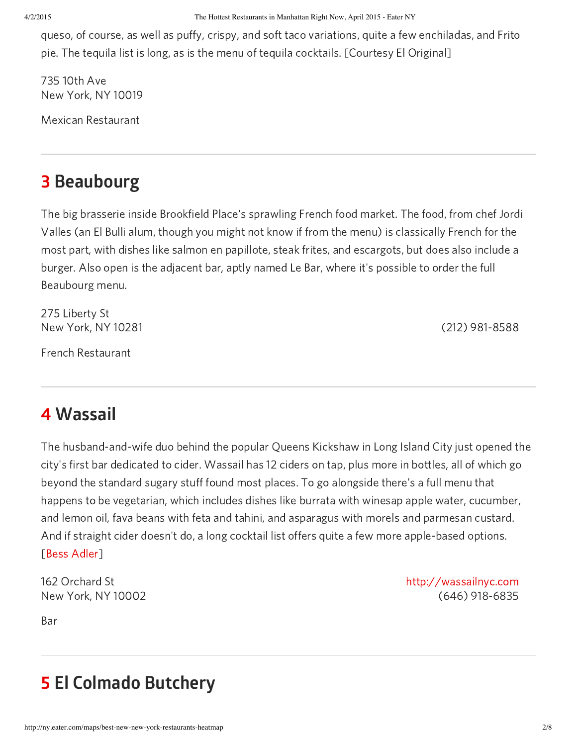4/2/2015 The Hottest Restaurants in Manhattan Right Now, April 2015 - Eater NY

queso, of course, as well as puffy, crispy, and soft taco variations, quite a few enchiladas, and Frito pie. The tequila list is long, as is the menu of tequila cocktails. [Courtesy El Original]

735 10th Ave New York, NY 10019

Mexican Restaurant

# 3 Beaubourg

The big brasserie inside Brookfield Place's sprawling French food market. The food, from chef Jordi Valles (an El Bulli alum, though you might not know if from the menu) is classically French for the most part, with dishes like salmon en papillote, steak frites, and escargots, but does also include a burger. Also open is the adjacent bar, aptly named Le Bar, where it's possible to order the full Beaubourg menu.

275 Liberty St New York, NY 10281 (212) 981-8588

French Restaurant

# 4 Wassail

The husband-and-wife duo behind the popular Queens Kickshaw in Long Island City just opened the city's first bar dedicated to cider. Wassail has 12 ciders on tap, plus more in bottles, all of which go beyond the standard sugary stuff found most places. To go alongside there's a full menu that happens to be vegetarian, which includes dishes like burrata with winesap apple water, cucumber, and lemon oil, fava beans with feta and tahini, and asparagus with morels and parmesan custard. And if straight cider doesn't do, a long cocktail list offers quite a few more apple-based options. [Bess [Adler\]](http://bessadler.com/)

162 Orchard St New York, NY 10002

Bar

http://wassailnyc.com (646) 918-6835

# 5 El Colmado Butchery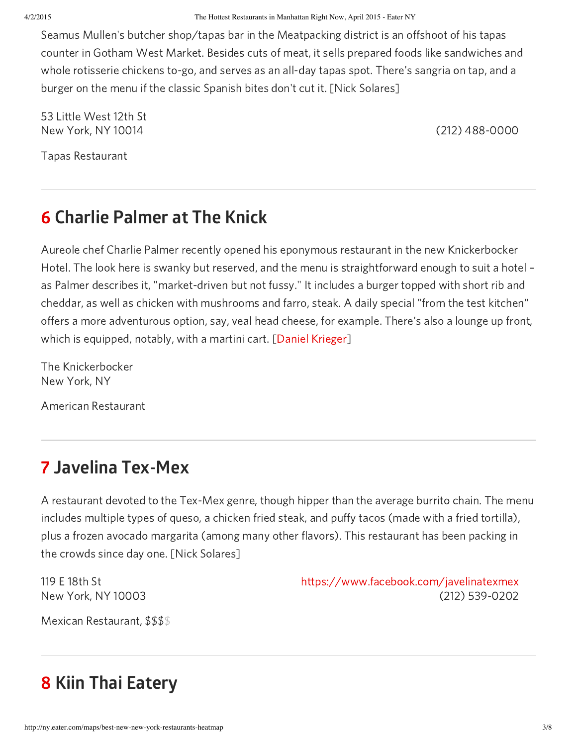Seamus Mullen's butcher shop/tapas bar in the Meatpacking district is an offshoot of his tapas counter in Gotham West Market. Besides cuts of meat, it sells prepared foods like sandwiches and whole rotisserie chickens to-go, and serves as an all-day tapas spot. There's sangria on tap, and a burger on the menu if the classic Spanish bites don't cut it. [Nick Solares]

53 Little West 12th St New York, NY 10014 (212) 488-0000

Tapas Restaurant

# 6 Charlie Palmer at The Knick

Aureole chef Charlie Palmer recently opened his eponymous restaurant in the new Knickerbocker Hotel. The look here is swanky but reserved, and the menu is straightforward enough to suit a hotel – as Palmer describes it, "market-driven but not fussy." It includes a burger topped with short rib and cheddar, as well as chicken with mushrooms and farro, steak. A daily special "from the test kitchen" offers a more adventurous option, say, veal head cheese, for example. There's also a lounge up front, which is equipped, notably, with a martini cart. [Daniel [Krieger\]](http://instagram.com/danielkrieger)

The Knickerbocker New York, NY

American Restaurant

# 7 Javelina Tex-Mex

A restaurant devoted to the Tex-Mex genre, though hipper than the average burrito chain. The menu includes multiple types of queso, a chicken fried steak, and puffy tacos (made with a fried tortilla), plus a frozen avocado margarita (among many other flavors). This restaurant has been packing in the crowds since day one. [Nick Solares]

119 E 18th St New York, NY 10003 https://www.facebook.com/javelinatexmex (212) 539-0202

Mexican Restaurant, \$\$\$ \$

# 8 Kiin Thai Eatery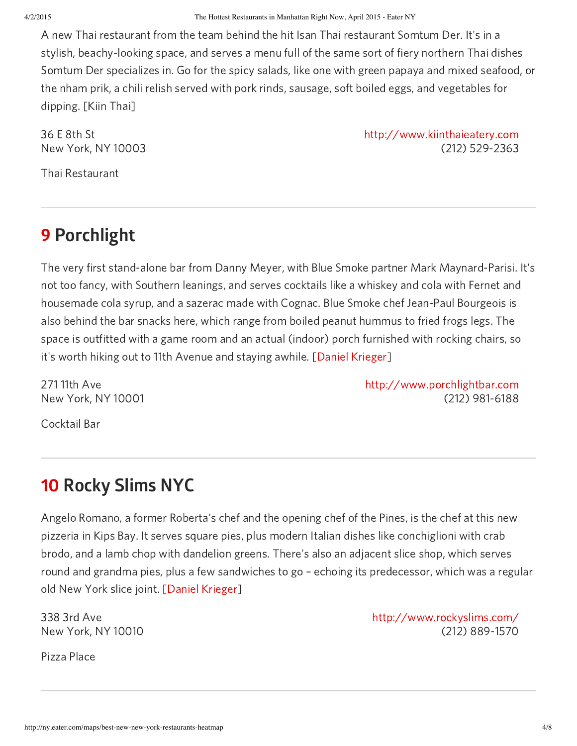A new Thai restaurant from the team behind the hit Isan Thai restaurant Somtum Der. It's in a stylish, beachy-looking space, and serves a menu full of the same sort of fiery northern Thai dishes Somtum Der specializes in. Go for the spicy salads, like one with green papaya and mixed seafood, or the nham prik, a chili relish served with pork rinds, sausage, soft boiled eggs, and vegetables for dipping. [Kiin Thai]

36 E 8th St New York, NY 10003

http://www.kiinthaieatery.com (212) 529-2363

Thai Restaurant

## 9 Porchlight

The very first stand-alone bar from Danny Meyer, with Blue Smoke partner Mark Maynard-Parisi. It's not too fancy, with Southern leanings, and serves cocktails like a whiskey and cola with Fernet and housemade cola syrup, and a sazerac made with Cognac. Blue Smoke chef Jean-Paul Bourgeois is also behind the bar snacks here, which range from boiled peanut hummus to fried frogs legs. The space is outfitted with a game room and an actual (indoor) porch furnished with rocking chairs, so it's worth hiking out to 11th Avenue and staying awhile. [Daniel [Krieger\]](http://instagram.com/danielkrieger)

271 11th Ave New York, NY 10001 http://www.porchlightbar.com (212) 981-6188

Cocktail Bar

# 10 Rocky Slims NYC

Angelo Romano, a former Roberta's chef and the opening chef of the Pines, is the chef at this new pizzeria in Kips Bay. It serves square pies, plus modern Italian dishes like conchiglioni with crab brodo, and a lamb chop with dandelion greens. There's also an adjacent slice shop, which serves round and grandma pies, plus a few sandwiches to go – echoing its predecessor, which was a regular old New York slice joint. [Daniel [Krieger\]](http://instagram.com/danielkrieger)

338 3rd Ave New York, NY 10010

Pizza Place

http://www.rockyslims.com/ (212) 889-1570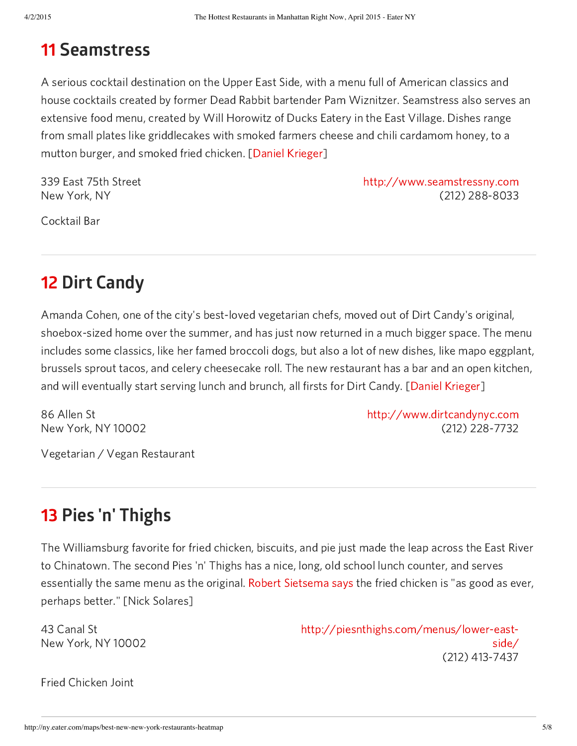#### 11 Seamstress

A serious cocktail destination on the Upper East Side, with a menu full of American classics and house cocktails created by former Dead Rabbit bartender Pam Wiznitzer. Seamstress also serves an extensive food menu, created by Will Horowitz of Ducks Eatery in the East Village. Dishes range from small plates like griddlecakes with smoked farmers cheese and chili cardamom honey, to a mutton burger, and smoked fried chicken. [Daniel [Krieger\]](http://instagram.com/danielkrieger)

339 East 75th Street New York, NY

http://www.seamstressny.com (212) 288-8033

Cocktail Bar

# 12 Dirt Candy

Amanda Cohen, one of the city's best-loved vegetarian chefs, moved out of Dirt Candy's original, shoebox-sized home over the summer, and has just now returned in a much bigger space. The menu includes some classics, like her famed broccoli dogs, but also a lot of new dishes, like mapo eggplant, brussels sprout tacos, and celery cheesecake roll. The new restaurant has a bar and an open kitchen, and will eventually start serving lunch and brunch, all firsts for Dirt Candy. [Daniel [Krieger](http://instagram.com/danielkrieger)]

86 Allen St New York, NY 10002 http://www.dirtcandynyc.com (212) 228-7732

Vegetarian / Vegan Restaurant

### 13 Pies 'n' Thighs

The Williamsburg favorite for fried chicken, biscuits, and pie just made the leap across the East River to Chinatown. The second Pies 'n' Thighs has a nice, long, old school lunch counter, and serves essentially the same menu as the original. Robert [Sietsema](http://ny.eater.com/2015/2/3/7968701/pies-n-thighs-lower-east-side-fried-chicken-sietsema) says the fried chicken is "as good as ever, perhaps better." [Nick Solares]

43 Canal St New York, NY 10002 http://piesnthighs.com/menus/lower-eastside/ (212) 413-7437

Fried Chicken Joint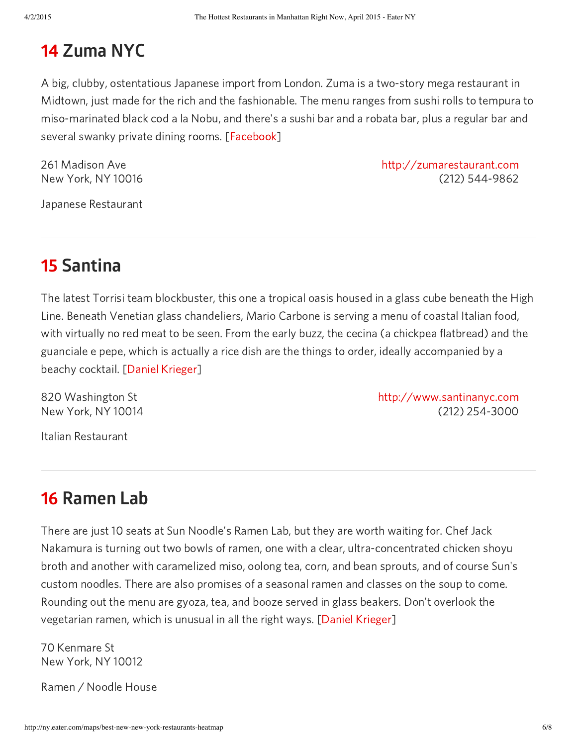## 14 Zuma NYC

A big, clubby, ostentatious Japanese import from London. Zuma is a two-story mega restaurant in Midtown, just made for the rich and the fashionable. The menu ranges from sushi rolls to tempura to miso-marinated black cod a la Nobu, and there's a sushi bar and a robata bar, plus a regular bar and several swanky private dining rooms. [\[Facebook\]](https://www.facebook.com/zumanewyork/photos/pb.647684171911030.-2207520000.1423146896./918978374781607/?type=3&theater)

261 Madison Ave New York, NY 10016

http://zumarestaurant.com (212) 544-9862

Japanese Restaurant

### 15 Santina

The latest Torrisi team blockbuster, this one a tropical oasis housed in a glass cube beneath the High Line. Beneath Venetian glass chandeliers, Mario Carbone is serving a menu of coastal Italian food, with virtually no red meat to be seen. From the early buzz, the cecina (a chickpea flatbread) and the guanciale e pepe, which is actually a rice dish are the things to order, ideally accompanied by a beachy cocktail. [Daniel [Krieger\]](http://instagram.com/danielkrieger)

820 Washington St New York, NY 10014 http://www.santinanyc.com (212) 254-3000

Italian Restaurant

#### 16 Ramen Lab

There are just 10 seats at Sun Noodle's Ramen Lab, but they are worth waiting for. Chef Jack Nakamura is turning out two bowls of ramen, one with a clear, ultra-concentrated chicken shoyu broth and another with caramelized miso, oolong tea, corn, and bean sprouts, and of course Sun's custom noodles. There are also promises of a seasonal ramen and classes on the soup to come. Rounding out the menu are gyoza, tea, and booze served in glass beakers. Don't overlook the vegetarian ramen, which is unusual in all the right ways. [Daniel [Krieger\]](http://instagram.com/danielkrieger)

70 Kenmare St New York, NY 10012

Ramen / Noodle House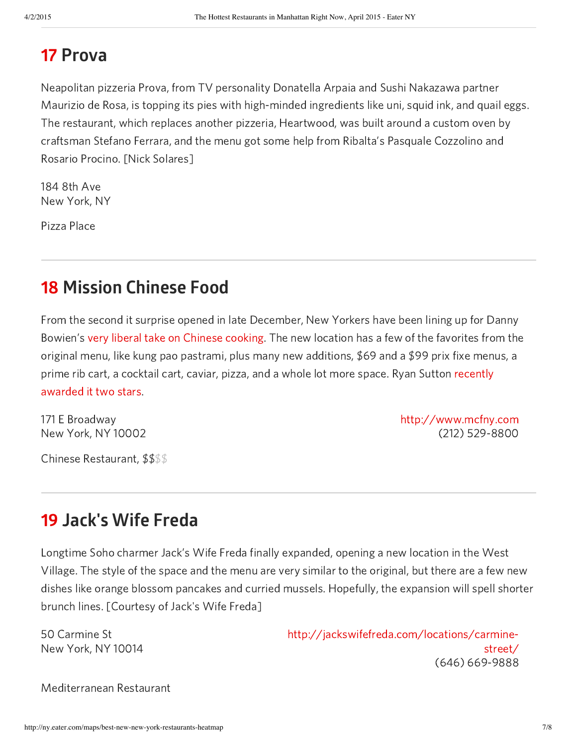#### 17 Prova

Neapolitan pizzeria Prova, from TV personality Donatella Arpaia and Sushi Nakazawa partner Maurizio de Rosa, is topping its pies with high-minded ingredients like uni, squid ink, and quail eggs. The restaurant, which replaces another pizzeria, Heartwood, was built around a custom oven by craftsman Stefano Ferrara, and the menu got some help from Ribalta's Pasquale Cozzolino and Rosario Procino. [Nick Solares]

184 8th Ave New York, NY

Pizza Place

#### 18 Mission Chinese Food

From the second it surprise opened in late December, New Yorkers have been lining up for Danny Bowien's very liberal take on [Chinese](http://ny.eater.com/2014/12/21/7430123/take-a-look-at-the-new-old-school-menu-at-mission-chinese-food) cooking. The new location has a few of the favorites from the original menu, like kung pao pastrami, plus many new additions, \$69 and a \$99 prix fixe menus, a prime rib cart, a cocktail cart, caviar, pizza, and a whole lot more space. Ryan Sutton recently [awarded](http://ny.eater.com/2015/2/24/8091225/mission-chinese-food-review-danny-bowien) it two stars.

171 E Broadway New York, NY 10002

http://www.mcfny.com (212) 529-8800

Chinese Restaurant, \$\$ \$\$

#### 19 Jack's Wife Freda

Longtime Soho charmer Jack's Wife Freda finally expanded, opening a new location in the West Village. The style of the space and the menu are very similar to the original, but there are a few new dishes like orange blossom pancakes and curried mussels. Hopefully, the expansion will spell shorter brunch lines. [Courtesy of Jack's Wife Freda]

50 Carmine St New York, NY 10014 http://jackswifefreda.com/locations/carminestreet/ (646) 669-9888

Mediterranean Restaurant